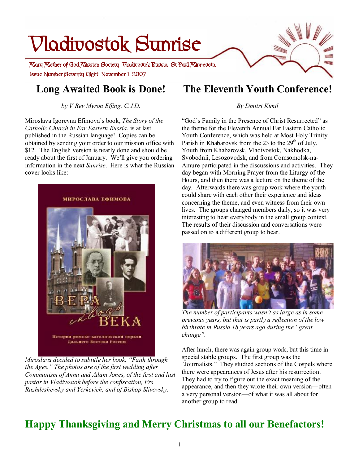# **Issue Number Seventy Eight November 1, 2007 Mary Mother of God Mission Society Vladivostok Russia St Paul Minnesota Vladivostok Sunrise**

# **Long Awaited Book is Done!**

*by V Rev Myron Effing, C.J.D.*

Miroslava Igorevna Efimova's book, *The Story of the Catholic Church in Far Eastern Russia*, is at last published in the Russian language! Copies can be obtained by sending your order to our mission office with \$12. The English version is nearly done and should be ready about the first of January. We'll give you ordering information in the next *Sunrise*. Here is what the Russian cover looks like:



*Miroslava decided to subtitle her book, "Faith through the Ages." The photos are of the first wedding after Communism of Anna and Adam Jones, of the first and last pastor in Vladivostok before the confiscation, Frs Razhdeshevsky and Yerkevich, and of Bishop Slivovsky.* 

# **The Eleventh Youth Conference!**

## *By Dmitri Kimil*

"God's Family in the Presence of Christ Resurrected" as the theme for the Eleventh Annual Far Eastern Catholic Youth Conference, which was held at Most Holy Trinity Parish in Khabarovsk from the 23 to the 29<sup>th</sup> of July. Youth from Khabarovsk, Vladivostok, Nakhodka, Svobodnii, Lesozovodsk, and from Comsomolsk-na-Amure participated in the discussions and activities. They day began with Morning Prayer from the Liturgy of the Hours, and then there was a lecture on the theme of the day. Afterwards there was group work where the youth could share with each other their experience and ideas concerning the theme, and even witness from their own lives. The groups changed members daily, so it was very interesting to hear everybody in the small group context. The results of their discussion and conversations were passed on to a different group to hear.



*The number of participants wasn't as large as in some previous years, but that is partly a reflection of the low birthrate in Russia 18 years ago during the "great change".* 

After lunch, there was again group work, but this time in special stable groups. The first group was the "Journalists." They studied sections of the Gospels where there were appearances of Jesus after his resurrection. They had to try to figure out the exact meaning of the appearance, and then they wrote their own version—often a very personal version—of what it was all about for another group to read.

# **Happy Thanksgiving and Merry Christmas to all our Benefactors!**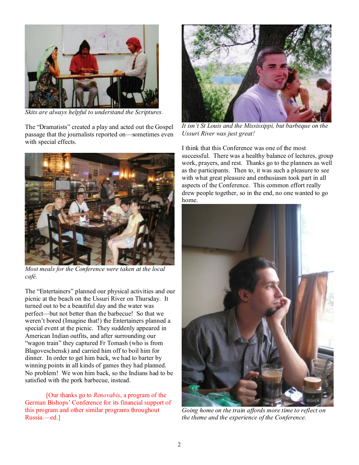

*Skits are always helpful to understand the Scriptures.* 

The "Dramatists" created a play and acted out the Gospel passage that the journalists reported on—sometimes even with special effects.



*Most meals for the Conference were taken at the local café.* 

The "Entertainers" planned our physical activities and our picnic at the beach on the Ussuri River on Thursday. It turned out to be a beautiful day and the water was perfect—but not better than the barbecue! So that we weren't bored (Imagine that!) the Entertainers planned a special event at the picnic. They suddenly appeared in American Indian outfits, and after surrounding our "wagon train" they captured Fr Tomash (who is from Blagoveschensk) and carried him off to boil him for dinner. In order to get him back, we had to barter by winning points in all kinds of games they had planned. No problem! We won him back, so the Indians had to be satisfied with the pork barbecue, instead.

[Our thanks go to *Renovabis*, a program of the German Bishops' Conference for its financial support of this program and other similar programs throughout Russia.—ed.]



*It isn't St Louis and the Mississippi, but barbeque on the Ussuri River was just great!* 

I think that this Conference was one of the most successful. There was a healthy balance of lectures, group work, prayers, and rest. Thanks go to the planners as well as the participants. Then to, it was such a pleasure to see with what great pleasure and enthusiasm took part in all aspects of the Conference. This common effort really drew people together, so in the end, no one wanted to go home.



*Going home on the train affords more time to reflect on the theme and the experience of the Conference.*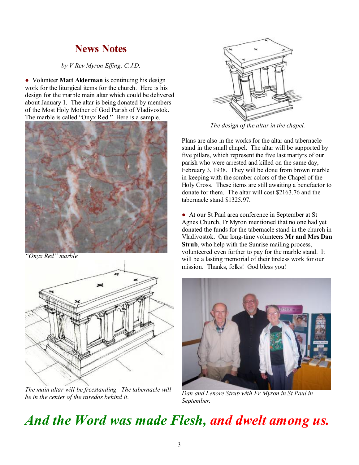## **News Notes**

## *by V Rev Myron Effing, C.J.D.*

● Volunteer **Matt Alderman** is continuing his design work for the liturgical items for the church. Here is his design for the marble main altar which could be delivered about January 1. The altar is being donated by members of the Most Holy Mother of God Parish of Vladivostok. The marble is called "Onyx Red." Here is a sample.



*"Onyx Red" marble* 



*The main altar will be freestanding. The tabernacle will be in the center of the raredos behind it.* 



*The design of the altar in the chapel.* 

Plans are also in the works for the altar and tabernacle stand in the small chapel. The altar will be supported by five pillars, which represent the five last martyrs of our parish who were arrested and killed on the same day, February 3, 1938. They will be done from brown marble in keeping with the somber colors of the Chapel of the Holy Cross. These items are still awaiting a benefactor to donate for them. The altar will cost \$2163.76 and the tabernacle stand \$1325.97.

● At our St Paul area conference in September at St Agnes Church, Fr Myron mentioned that no one had yet donated the funds for the tabernacle stand in the church in Vladivostok. Our long-time volunteers **Mr and Mrs Dan Strub**, who help with the Sunrise mailing process, volunteered even further to pay for the marble stand. It will be a lasting memorial of their tireless work for our mission. Thanks, folks! God bless you!



*Dan and Lenore Strub with Fr Myron in St Paul in September.* 

# *And the Word was made Flesh, and dwelt among us.*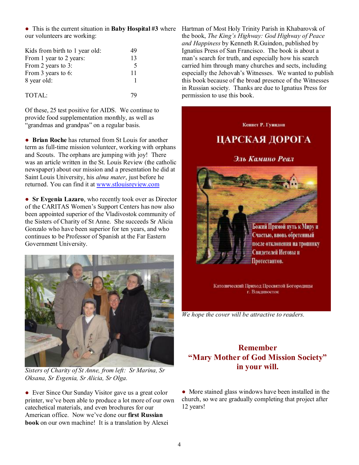● This is the current situation in **Baby Hospital #3** where our volunteers are working:

| Kids from birth to 1 year old: | 49 |
|--------------------------------|----|
| From 1 year to 2 years:        | 13 |
| From 2 years to 3:             | 5  |
| From 3 years to 6:             | 11 |
| 8 year old:                    |    |
| TOTAL:                         |    |

Of these, 25 test positive for AIDS. We continue to provide food supplementation monthly, as well as "grandmas and grandpas" on a regular basis.

● **Brian Roche** has returned from St Louis for another term as full-time mission volunteer, working with orphans and Scouts. The orphans are jumping with joy! There was an article written in the St. Louis Review (the catholic newspaper) about our mission and a presentation he did at Saint Louis University, his *alma mater*, just before he returned. You can find it at [www.stlouisreview.com](http://www.stlouisreview.com)

● **Sr Evgenia Lazaro**, who recently took over as Director of the CARITAS Women's Support Centers has now also been appointed superior of the Vladivostok community of the Sisters of Charity of St Anne. She succeeds Sr Alicia Gonzalo who have been superior for ten years, and who continues to be Professor of Spanish at the Far Eastern Government University.



*Sisters of Charity of St Anne, from left: Sr Marina, Sr Oksana, Sr Evgenia, Sr Alicia, Sr Olga.* 

• Ever Since Our Sunday Visitor gave us a great color printer, we've been able to produce a lot more of our own catechetical materials, and even brochures for our American office. Now we've done our **first Russian book** on our own machine! It is a translation by Alexei

Hartman of Most Holy Trinity Parish in Khabarovsk of the book, *The King's Highway: God Highway of Peace and Happiness* by Kenneth R.Guindon, published by Ignatius Press of San Francisco. The book is about a man's search for truth, and especially how his search carried him through many churches and sects, including especially the Jehovah's Witnesses. We wanted to publish this book because of the broad presence of the Witnesses in Russian society. Thanks are due to Ignatius Press for permission to use this book.



Католический Приход Пресвятой Богородицы г. Владивосток

*We hope the cover will be attractive to readers.* 

## **Remember "Mary Mother of God Mission Society" in your will.**

• More stained glass windows have been installed in the church, so we are gradually completing that project after 12 years!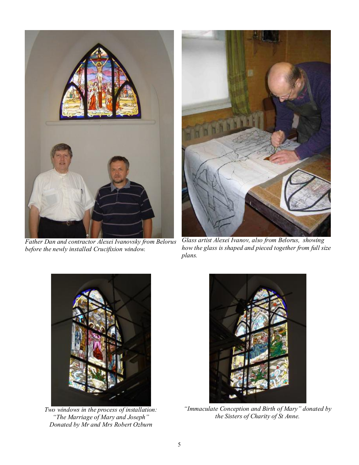

*Father Dan and contractor Alexei Ivanovsky from Belorus before the newly installed Crucifixion window.* 



*Glass artist Alexei Ivanov, also from Belorus, showing how the glass is shaped and pieced together from full size plans.* 



*Two windows in the process of installation: "The Marriage of Mary and Joseph" Donated by Mr and Mrs Robert Ozburn* 



*"Immaculate Conception and Birth of Mary" donated by the Sisters of Charity of St Anne.*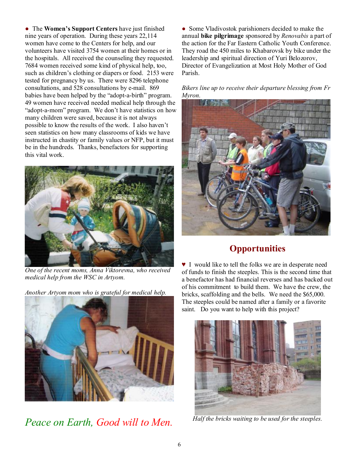● The **Women's Support Centers** have just finished nine years of operation. During these years 22,114 women have come to the Centers for help, and our volunteers have visited 3754 women at their homes or in the hospitals. All received the counseling they requested. 7684 women received some kind of physical help, too, such as children's clothing or diapers or food. 2153 were tested for pregnancy by us. There were 8296 telephone consultations, and 528 consultations by e-mail. 869 babies have been helped by the "adopt-a-birth" program. 49 women have received needed medical help through the "adopt-a-mom" program. We don't have statistics on how many children were saved, because it is not always possible to know the results of the work. I also haven't seen statistics on how many classrooms of kids we have instructed in chastity or family values or NFP, but it must be in the hundreds. Thanks, benefactors for supporting this vital work.



*One of the recent moms, Anna Viktorevna, who received medical help from the WSC in Artyom.* 

*Another Artyom mom who is grateful for medical help.* 



*Peace on Earth, Good will to Men.* 

• Some Vladivostok parishioners decided to make the annual **bike pilgrimage** sponsored by *Renovabis* a part of the action for the Far Eastern Catholic Youth Conference. They road the 450 miles to Khabarovsk by bike under the leadership and spiritual direction of Yuri Belozorov, Director of Evangelization at Most Holy Mother of God Parish.

*Bikers line up to receive their departure blessing from Fr Myron.*



## **Opportunities**

♥ I would like to tell the folks we are in desperate need of funds to finish the steeples. This is the second time that a benefactor has had financial reverses and has backed out of his commitment to build them. We have the crew, the bricks, scaffolding and the bells. We need the \$65,000. The steeples could be named after a family or a favorite saint. Do you want to help with this project?



*Half the bricks waiting to be used for the steeples.*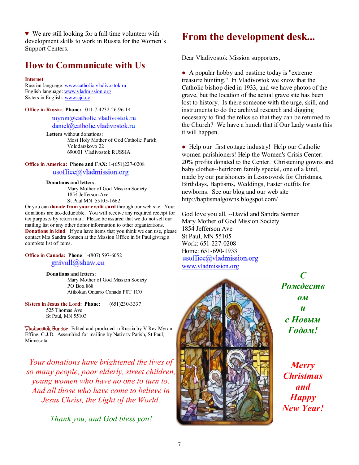♥ We are still looking for a full time volunteer with development skills to work in Russia for the Women's Support Centers.

## **How to Communicate with Us**

#### **Internet**

Russian language: [www.catholic.vladivostok.ru](http://www.catholic.vladivostok.ru) English language: [www.vladmission.org](http://www.vladmission.org) Sisters in English: [www.cjd.cc](http://www.cjd.cc)

**Office in Russia: Phone:** 011-7-4232-26-96-14

### myron@catholic.vladivostok.ru daniel@catholic.vladivostok.ru

**Letters** without donations: Most Holy Mother of God Catholic Parish Volodarskovo 22 690001 Vladivostok RUSSIA

**Office in America: Phone and FAX:** 1-(651)227-0208  $usoffice(\hat{a})$ vladmission.org

#### **Donations and letters**:

Mary Mother of God Mission Society 1854 Jefferson Ave St Paul MN 55105-1662

Or you can **donate from your credit card** through our web site. Your donations are tax-deductible. You will receive any required receipt for tax purposes by return mail. Please be assured that we do not sell our mailing list or any other donor information to other organizations. **Donations in kind**. If you have items that you think we can use, please contact Mrs Sandra Sonnen at the Mission Office in St Paul giving a complete list of items.

### **Office in Canada: Phone**: 1-(807) 597-6052 gnivall@shaw.ca

**Donations and letters**:

Mary Mother of God Mission Society PO Box 868 Atikokan Ontario Canada P0T 1C0

**Sisters in Jesus the Lord: Phone:** (651)230-3337 525 Thomas Ave St Paul, MN 55103

**Vladivostok Sunrise** Edited and produced in Russia by V Rev Myron Effing, C.J.D. Assembled for mailing by Nativity Parish, St Paul, Minnesota.

*Your donations have brightened the lives of so many people, poor elderly, street children, young women who have no one to turn to. And all those who have come to believe in Jesus Christ, the Light of the World.* 

*Thank you, and God bless you!* 

# **From the development desk...**

Dear Vladivostok Mission supporters,

● A popular hobby and pastime today is "extreme treasure hunting." In Vladivostok we know that the Catholic bishop died in 1933, and we have photos of the grave, but the location of the actual grave site has been lost to history. Is there someone with the urge, skill, and instruments to do the archival research and digging necessary to find the relics so that they can be returned to the Church? We have a hunch that if Our Lady wants this it will happen.

• Help our first cottage industry! Help our Catholic women parishioners! Help the Women's Crisis Center: 20% profits donated to the Center. Christening gowns and baby clothes--heirloom family special, one of a kind, made by our parishoners in Lesosovosk for Christmas, Birthdays, Baptisms, Weddings, Easter outfits for newborns. See our blog and our web site <http://baptismalgowns.blogspot.com/>

God love you all, --David and Sandra Sonnen Mary Mother of God Mission Society 1854 Jefferson Ave St Paul, MN 55105 Work: 651-227-0208 Home: 651-690-1933  $usoffice@vladmission.org$ [www.vladmission.org](http://www.vladmission.org)



*С Рождеств ом и c Новым Годом!* 

*Merry Christmas and Happy New Year!*